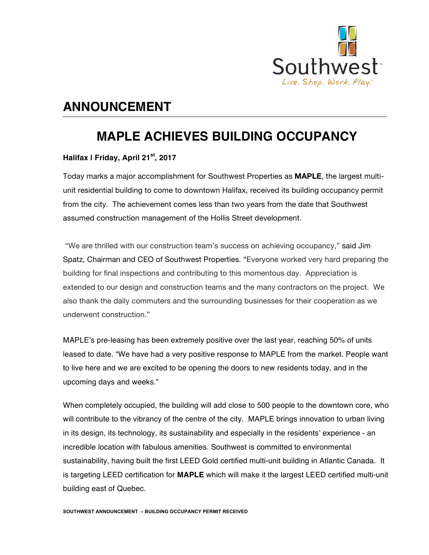

## **ANNOUNCEMENT**

## **MAPLE ACHIEVES BUILDING OCCUPANCY**

## **Halifax | Friday, April 21st, 2017**

Today marks a major accomplishment for Southwest Properties as **MAPLE**, the largest multiunit residential building to come to downtown Halifax, received its building occupancy permit from the city. The achievement comes less than two years from the date that Southwest assumed construction management of the Hollis Street development.

"We are thrilled with our construction team's success on achieving occupancy," said Jim Spatz, Chairman and CEO of Southwest Properties. "Everyone worked very hard preparing the building for final inspections and contributing to this momentous day. Appreciation is extended to our design and construction teams and the many contractors on the project. We also thank the daily commuters and the surrounding businesses for their cooperation as we underwent construction."

MAPLE's pre-leasing has been extremely positive over the last year, reaching 50% of units leased to date. "We have had a very positive response to MAPLE from the market. People want to live here and we are excited to be opening the doors to new residents today, and in the upcoming days and weeks."

When completely occupied, the building will add close to 500 people to the downtown core, who will contribute to the vibrancy of the centre of the city. MAPLE brings innovation to urban living in its design, its technology, its sustainability and especially in the residents' experience - an incredible location with fabulous amenities. Southwest is committed to environmental sustainability, having built the first LEED Gold certified multi-unit building in Atlantic Canada. It is targeting LEED certification for **MAPLE** which will make it the largest LEED certified multi-unit building east of Quebec.